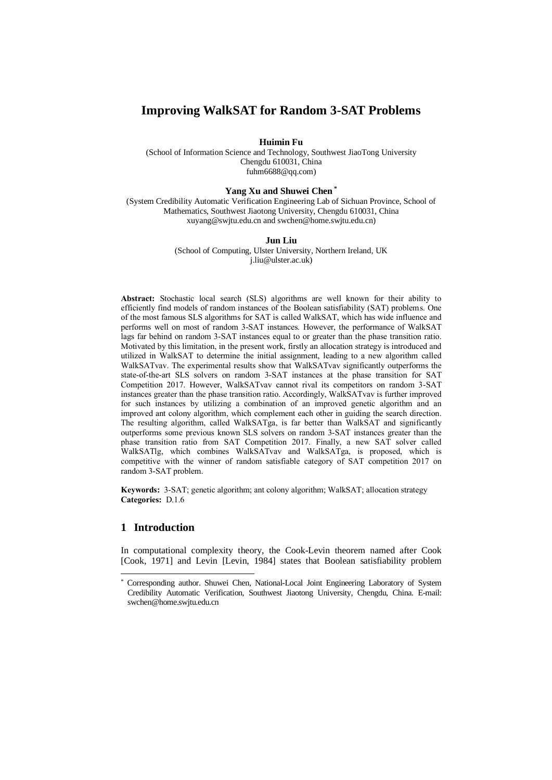# **Improving WalkSAT for Random 3-SAT Problems**

**Huimin Fu**

(School of Information Science and Technology, Southwest JiaoTong University Chengdu 610031, China [fuhm6688@qq.com\)](mailto:fuhm6688@qq.com)

## **Yang Xu and Shuwei Chen \***

(System Credibility Automatic Verification Engineering Lab of Sichuan Province, School of Mathematics, Southwest Jiaotong University, Chengdu 610031, China xuyang@swjtu.edu.cn and swchen@home.swjtu.edu.cn)

#### **Jun Liu**

(School of Computing, Ulster University, Northern Ireland, UK j.liu@ulster.ac.uk)

**Abstract:** Stochastic local search (SLS) algorithms are well known for their ability to efficiently find models of random instances of the Boolean satisfiability (SAT) problems. One of the most famous SLS algorithms for SAT is called WalkSAT, which has wide influence and performs well on most of random 3-SAT instances. However, the performance of WalkSAT lags far behind on random 3-SAT instances equal to or greater than the phase transition ratio. Motivated by this limitation, in the present work, firstly an allocation strategy is introduced and utilized in WalkSAT to determine the initial assignment, leading to a new algorithm called WalkSATvav. The experimental results show that WalkSATvav significantly outperforms the state-of-the-art SLS solvers on random 3-SAT instances at the phase transition for SAT Competition 2017. However, WalkSATvav cannot rival its competitors on random 3-SAT instances greater than the phase transition ratio. Accordingly, WalkSATvav is further improved for such instances by utilizing a combination of an improved genetic algorithm and an improved ant colony algorithm, which complement each other in guiding the search direction. The resulting algorithm, called WalkSATga, is far better than WalkSAT and significantly outperforms some previous known SLS solvers on random 3-SAT instances greater than the phase transition ratio from SAT Competition 2017. Finally, a new SAT solver called WalkSATlg, which combines WalkSATvav and WalkSATga, is proposed, which is competitive with the winner of random satisfiable category of SAT competition 2017 on random 3-SAT problem.

**Keywords:** 3-SAT; genetic algorithm; ant colony algorithm; WalkSAT; allocation strategy **Categories:** D.1.6

## **1 Introduction**

In computational complexity theory, the Cook-Levin theorem named after Cook [Cook, 1971] and Levin [Levin, 1984] states that Boolean satisfiability problem

<sup>\*</sup> Corresponding author. Shuwei Chen, National-Local Joint Engineering Laboratory of System Credibility Automatic Verification, Southwest Jiaotong University, Chengdu, China. E-mail: swchen@home.swjtu.edu.cn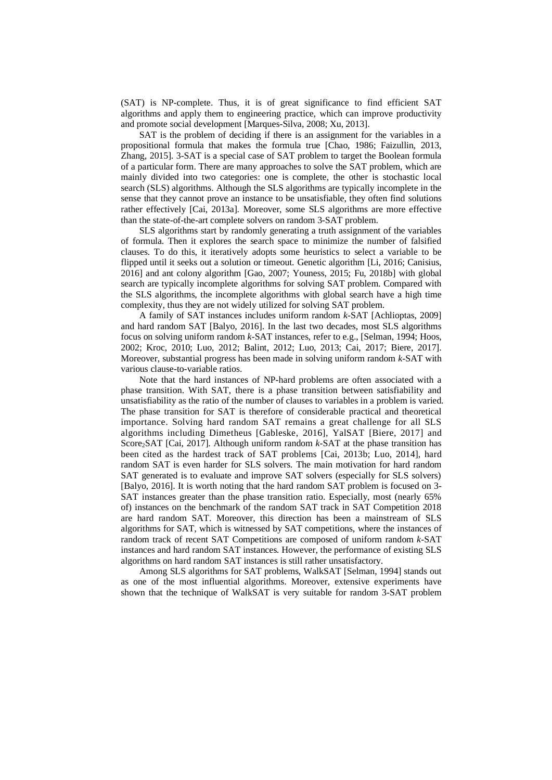(SAT) is NP-complete. Thus, it is of great significance to find efficient SAT algorithms and apply them to engineering practice, which can improve productivity and promote social development [Marques-Silva, 2008; Xu, 2013].

SAT is the problem of deciding if there is an assignment for the variables in a propositional formula that makes the formula true [Chao, 1986; Faizullin, 2013, Zhang, 2015]. 3-SAT is a special case of SAT problem to target the Boolean formula of a particular form. There are many approaches to solve the SAT problem, which are mainly divided into two categories: one is complete, the other is stochastic local search (SLS) algorithms. Although the SLS algorithms are typically incomplete in the sense that they cannot prove an instance to be unsatisfiable, they often find solutions rather effectively [Cai, 2013a]. Moreover, some SLS algorithms are more effective than the state-of-the-art complete solvers on random 3-SAT problem.

SLS algorithms start by randomly generating a truth assignment of the variables of formula. Then it explores the search space to minimize the number of falsified clauses. To do this, it iteratively adopts some heuristics to select a variable to be flipped until it seeks out a solution or timeout. Genetic algorithm [Li, 2016; Canisius, 2016] and ant colony algorithm [Gao, 2007; Youness, 2015; Fu, 2018b] with global search are typically incomplete algorithms for solving SAT problem. Compared with the SLS algorithms, the incomplete algorithms with global search have a high time complexity, thus they are not widely utilized for solving SAT problem.

A family of SAT instances includes uniform random *k*-SAT [Achlioptas, 2009] and hard random SAT [Balyo, 2016]. In the last two decades, most SLS algorithms focus on solving uniform random *k*-SAT instances, refer to e.g., [Selman, 1994; Hoos, 2002; Kroc, 2010; Luo, 2012; Balint, 2012; Luo, 2013; Cai, 2017; Biere, 2017]. Moreover, substantial progress has been made in solving uniform random *k*-SAT with various clause-to-variable ratios.

Note that the hard instances of NP-hard problems are often associated with a phase transition. With SAT, there is a phase transition between satisfiability and unsatisfiability as the ratio of the number of clauses to variables in a problem is varied. The phase transition for SAT is therefore of considerable practical and theoretical importance. Solving hard random SAT remains a great challenge for all SLS algorithms including Dimetheus [Gableske, 2016], YalSAT [Biere, 2017] and Score2SAT [Cai, 2017]. Although uniform random *k*-SAT at the phase transition has been cited as the hardest track of SAT problems [Cai, 2013b; Luo, 2014], hard random SAT is even harder for SLS solvers. The main motivation for hard random SAT generated is to evaluate and improve SAT solvers (especially for SLS solvers) [Balyo, 2016]. It is worth noting that the hard random SAT problem is focused on 3- SAT instances greater than the phase transition ratio. Especially, most (nearly 65% of) instances on the benchmark of the random SAT track in SAT Competition 2018 are hard random SAT. Moreover, this direction has been a mainstream of SLS algorithms for SAT, which is witnessed by SAT competitions, where the instances of random track of recent SAT Competitions are composed of uniform random *k*-SAT instances and hard random SAT instances. However, the performance of existing SLS algorithms on hard random SAT instances is still rather unsatisfactory.

Among SLS algorithms for SAT problems, WalkSAT [Selman, 1994] stands out as one of the most influential algorithms. Moreover, extensive experiments have shown that the technique of WalkSAT is very suitable for random 3-SAT problem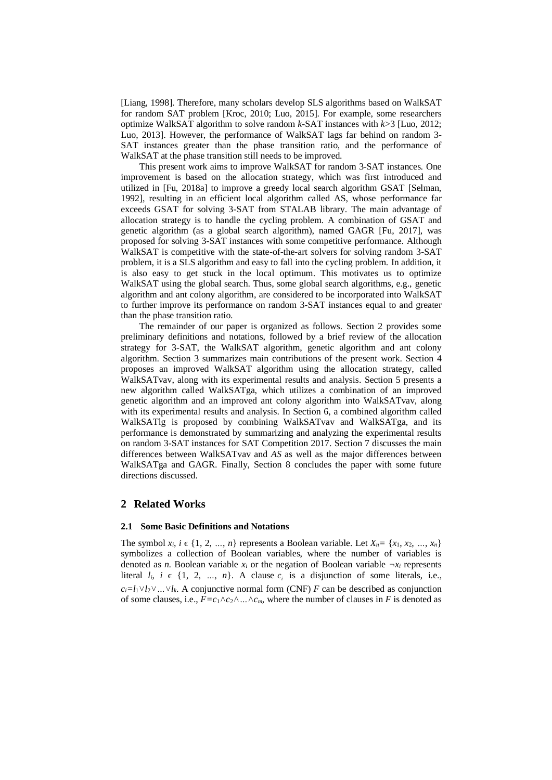[Liang, 1998]. Therefore, many scholars develop SLS algorithms based on WalkSAT for random SAT problem [Kroc, 2010; Luo, 2015]. For example, some researchers optimize WalkSAT algorithm to solve random *k*-SAT instances with *k*>3 [Luo, 2012; Luo, 2013]. However, the performance of WalkSAT lags far behind on random 3- SAT instances greater than the phase transition ratio, and the performance of WalkSAT at the phase transition still needs to be improved.

This present work aims to improve WalkSAT for random 3-SAT instances. One improvement is based on the allocation strategy, which was first introduced and utilized in [Fu, 2018a] to improve a greedy local search algorithm GSAT [Selman, 1992], resulting in an efficient local algorithm called AS, whose performance far exceeds GSAT for solving 3-SAT from STALAB library. The main advantage of allocation strategy is to handle the cycling problem. A combination of GSAT and genetic algorithm (as a global search algorithm), named GAGR [Fu, 2017], was proposed for solving 3-SAT instances with some competitive performance. Although WalkSAT is competitive with the state-of-the-art solvers for solving random 3-SAT problem, it is a SLS algorithm and easy to fall into the cycling problem. In addition, it is also easy to get stuck in the local optimum. This motivates us to optimize WalkSAT using the global search. Thus, some global search algorithms, e.g., genetic algorithm and ant colony algorithm, are considered to be incorporated into WalkSAT to further improve its performance on random 3-SAT instances equal to and greater than the phase transition ratio.

The remainder of our paper is organized as follows. Section 2 provides some preliminary definitions and notations, followed by a brief review of the allocation strategy for 3-SAT, the WalkSAT algorithm, genetic algorithm and ant colony algorithm. Section 3 summarizes main contributions of the present work. Section 4 proposes an improved WalkSAT algorithm using the allocation strategy, called WalkSATvav, along with its experimental results and analysis. Section 5 presents a new algorithm called WalkSATga, which utilizes a combination of an improved genetic algorithm and an improved ant colony algorithm into WalkSATvav, along with its experimental results and analysis. In Section 6, a combined algorithm called WalkSATlg is proposed by combining WalkSATvav and WalkSATga, and its performance is demonstrated by summarizing and analyzing the experimental results on random 3-SAT instances for SAT Competition 2017. Section 7 discusses the main differences between WalkSATvav and *AS* as well as the major differences between WalkSATga and GAGR. Finally, Section 8 concludes the paper with some future directions discussed.

## **2 Related Works**

#### **2.1 Some Basic Definitions and Notations**

The symbol  $x_i$ ,  $i \in \{1, 2, ..., n\}$  represents a Boolean variable. Let  $X_n = \{x_1, x_2, ..., x_n\}$ symbolizes a collection of Boolean variables, where the number of variables is denoted as *n*. Boolean variable  $x_i$  or the negation of Boolean variable  $\neg x_i$  represents literal  $l_i$ ,  $i \in \{1, 2, ..., n\}$ . A clause  $c_i$  is a disjunction of some literals, i.e.,  $c_i = l_1 \vee l_2 \vee ... \vee l_k$ . A conjunctive normal form (CNF) *F* can be described as conjunction of some clauses, i.e.,  $F = c_1 \wedge c_2 \wedge ... \wedge c_m$ , where the number of clauses in *F* is denoted as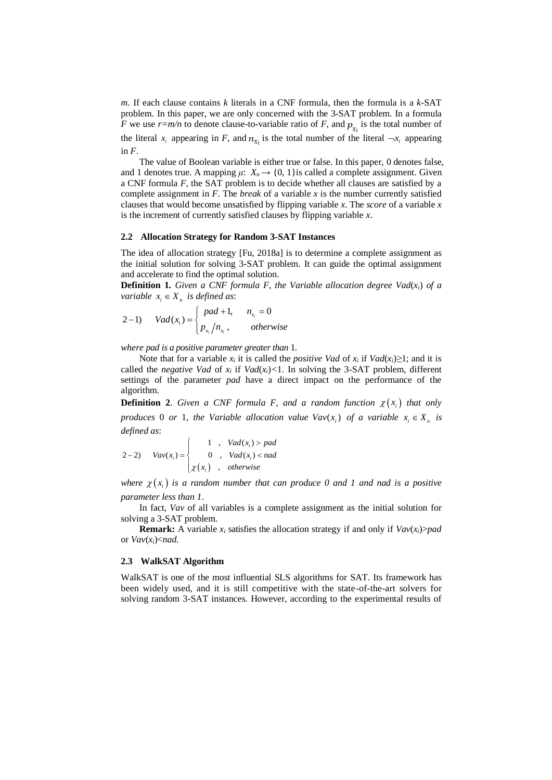*m*. If each clause contains *k* literals in a CNF formula, then the formula is a *k*-SAT problem. In this paper, we are only concerned with the 3-SAT problem. In a formula *F* we use  $r=m/n$  to denote clause-to-variable ratio of *F*, and  $p_{x_i}$  is the total number of the literal  $x_i$  appearing in *F*, and  $n_{x_i}$  is the total number of the literal  $\neg x_i$  appearing in *F*.

The value of Boolean variable is either true or false. In this paper, 0 denotes false, and 1 denotes true. A mapping  $\mu$ :  $X_n \rightarrow \{0, 1\}$  is called a complete assignment. Given a CNF formula *F*, the SAT problem is to decide whether all clauses are satisfied by a complete assignment in *F*. The *break* of a variable *x* is the number currently satisfied clauses that would become unsatisfied by flipping variable *x*. The *score* of a variable *x* is the increment of currently satisfied clauses by flipping variable *x*.

## **2.2 Allocation Strategy for Random 3-SAT Instances**

The idea of allocation strategy [Fu, 2018a] is to determine a complete assignment as the initial solution for solving 3-SAT problem. It can guide the optimal assignment and accelerate to find the optimal solution.

**Definition 1.** *Given a CNF formula F, the Variable allocation degree*  $Vad(x_i)$  *of a* 

variable 
$$
x_i \in X_n
$$
 is defined as:  
\n
$$
2-1) \quad Vad(x_i) = \begin{cases} pad + 1, & n_{x_i} = 0 \\ p_{x_i}/n_{x_i}, & otherwise \end{cases}
$$

*where pad is a positive parameter greater than* 1*.*

Note that for a variable  $x_i$  it is called the *positive Vad* of  $x_i$  if  $Vad(x_i) \ge 1$ ; and it is called the *negative Vad* of  $x_i$  if  $Vad(x_i) < 1$ . In solving the 3-SAT problem, different settings of the parameter *pad* have a direct impact on the performance of the algorithm.

**Definition 2.** *Given a CNF formula F, and a random function*  $\chi(x_i)$  *that only produces* 0 *or* 1, the Variable allocation value  $\text{Vav}(x_i)$  of a variable  $x_i \in X_n$  is *defined as*:

defined as:  
\n
$$
2-2) \quad \text{Vav}(x_i) = \begin{cases}\n1 & , \quad \text{Vad}(x_i) > \text{pad} \\
0 & , \quad \text{Vad}(x_i) < \text{nad} \\
x(x_i) & , \quad \text{otherwise}\n\end{cases}
$$

where  $\chi(x_i)$  is a random number that can produce 0 and 1 and nad is a positive *parameter less than 1*.

In fact, *Vav* of all variables is a complete assignment as the initial solution for solving a 3-SAT problem.

**Remark:** A variable  $x_i$  satisfies the allocation strategy if and only if  $\text{Vav}(x_i) > pad$ or *Vav*(*xi*)<*nad*.

### **2.3 WalkSAT Algorithm**

WalkSAT is one of the most influential SLS algorithms for SAT. Its framework has been widely used, and it is still competitive with the state-of-the-art solvers for solving random 3-SAT instances. However, according to the experimental results of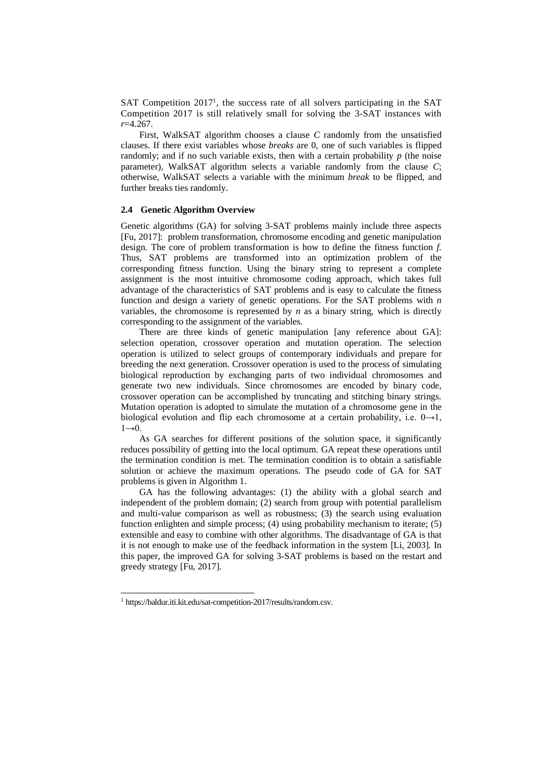SAT Competition 2017<sup>1</sup>, the success rate of all solvers participating in the SAT Competition 2017 is still relatively small for solving the 3-SAT instances with *r*=4.267.

First, WalkSAT algorithm chooses a clause *C* randomly from the unsatisfied clauses. If there exist variables whose *breaks* are 0, one of such variables is flipped randomly; and if no such variable exists, then with a certain probability *p* (the noise parameter), WalkSAT algorithm selects a variable randomly from the clause *C*; otherwise, WalkSAT selects a variable with the minimum *break* to be flipped, and further breaks ties randomly.

### **2.4 Genetic Algorithm Overview**

Genetic algorithms (GA) for solving 3-SAT problems mainly include three aspects [Fu, 2017]: problem transformation, chromosome encoding and genetic manipulation design. The core of problem transformation is how to define the fitness function *f*. Thus, SAT problems are transformed into an optimization problem of the corresponding fitness function. Using the binary string to represent a complete assignment is the most intuitive chromosome coding approach, which takes full advantage of the characteristics of SAT problems and is easy to calculate the fitness function and design a variety of genetic operations. For the SAT problems with *n* variables, the chromosome is represented by  $n$  as a binary string, which is directly corresponding to the assignment of the variables.

There are three kinds of genetic manipulation [any reference about GA]: selection operation, crossover operation and mutation operation. The selection operation is utilized to select groups of contemporary individuals and prepare for breeding the next generation. Crossover operation is used to the process of simulating biological reproduction by exchanging parts of two individual chromosomes and generate two new individuals. Since chromosomes are encoded by binary code, crossover operation can be accomplished by truncating and stitching binary strings. Mutation operation is adopted to simulate the mutation of a chromosome gene in the biological evolution and flip each chromosome at a certain probability, i.e.  $0 \rightarrow 1$ ,  $1\rightarrow 0$ .

As GA searches for different positions of the solution space, it significantly reduces possibility of getting into the local optimum. GA repeat these operations until the termination condition is met. The termination condition is to obtain a satisfiable solution or achieve the maximum operations. The pseudo code of GA for SAT problems is given in Algorithm 1.

GA has the following advantages: (1) the ability with a global search and independent of the problem domain; (2) search from group with potential parallelism and multi-value comparison as well as robustness; (3) the search using evaluation function enlighten and simple process; (4) using probability mechanism to iterate; (5) extensible and easy to combine with other algorithms. The disadvantage of GA is that it is not enough to make use of the feedback information in the system [Li, 2003]. In this paper, the improved GA for solving 3-SAT problems is based on the restart and greedy strategy [Fu, 2017].

<sup>1</sup> https://baldur.iti.kit.edu/sat-competition-2017/results/random.csv.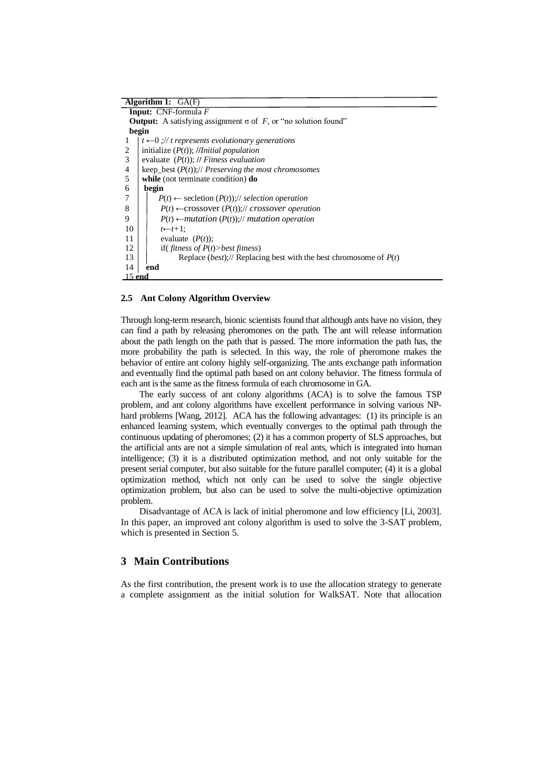| Algorithm 1: $GA(F)$                                                               |  |  |  |  |  |  |  |
|------------------------------------------------------------------------------------|--|--|--|--|--|--|--|
| <b>Input:</b> CNF-formula $F$                                                      |  |  |  |  |  |  |  |
| <b>Output:</b> A satisfying assignment $\sigma$ of F, or "no solution found"       |  |  |  |  |  |  |  |
| begin                                                                              |  |  |  |  |  |  |  |
| $t \leftarrow 0$ ;// t represents evolutionary generations<br>1                    |  |  |  |  |  |  |  |
| initialize $(P(t))$ ; // <i>Initial population</i><br>2                            |  |  |  |  |  |  |  |
| 3<br>evaluate $(P(t))$ ; // Fitness evaluation                                     |  |  |  |  |  |  |  |
| 4<br>keep_best $(P(t))$ ;// Preserving the most chromosomes                        |  |  |  |  |  |  |  |
| 5<br>while (not terminate condition) do                                            |  |  |  |  |  |  |  |
| 6<br>begin                                                                         |  |  |  |  |  |  |  |
| 7<br>$P(t) \leftarrow$ secletion $(P(t))$ ;// selection operation                  |  |  |  |  |  |  |  |
| 8<br>$P(t) \leftarrow \text{crossover}(P(t))$ ;// crossover operation              |  |  |  |  |  |  |  |
| 9<br>$P(t) \leftarrow mutation(P(t))$ ;// mutation operation                       |  |  |  |  |  |  |  |
| 10<br>$t \leftarrow t+1$ :                                                         |  |  |  |  |  |  |  |
| 11<br>evaluate $(P(t))$ ;                                                          |  |  |  |  |  |  |  |
| if(fitness of $P(t)$ >best fitness)<br>12                                          |  |  |  |  |  |  |  |
| 13<br>Replace ( <i>best</i> );// Replacing best with the best chromosome of $P(t)$ |  |  |  |  |  |  |  |
| 14<br>end                                                                          |  |  |  |  |  |  |  |
| $15$ end                                                                           |  |  |  |  |  |  |  |

### **2.5 Ant Colony Algorithm Overview**

Through long-term research, bionic scientists found that although ants have no vision, they can find a path by releasing pheromones on the path. The ant will release information about the path length on the path that is passed. The more information the path has, the more probability the path is selected. In this way, the role of pheromone makes the behavior of entire ant colony highly self-organizing. The ants exchange path information and eventually find the optimal path based on ant colony behavior. The fitness formula of each ant is the same as the fitness formula of each chromosome in GA.

The early success of ant colony algorithms (ACA) is to solve the famous TSP problem, and ant colony algorithms have excellent performance in solving various NPhard problems [Wang, 2012]. ACA has the following advantages: (1) its principle is an enhanced learning system, which eventually converges to the optimal path through the continuous updating of pheromones; (2) it has a common property of SLS approaches, but the artificial ants are not a simple simulation of real ants, which is integrated into human intelligence; (3) it is a distributed optimization method, and not only suitable for the present serial computer, but also suitable for the future parallel computer; (4) it is a global optimization method, which not only can be used to solve the single objective optimization problem, but also can be used to solve the multi-objective optimization problem.

Disadvantage of ACA is lack of initial pheromone and low efficiency [Li, 2003]. In this paper, an improved ant colony algorithm is used to solve the 3-SAT problem, which is presented in Section 5.

## **3 Main Contributions**

As the first contribution, the present work is to use the allocation strategy to generate a complete assignment as the initial solution for WalkSAT. Note that allocation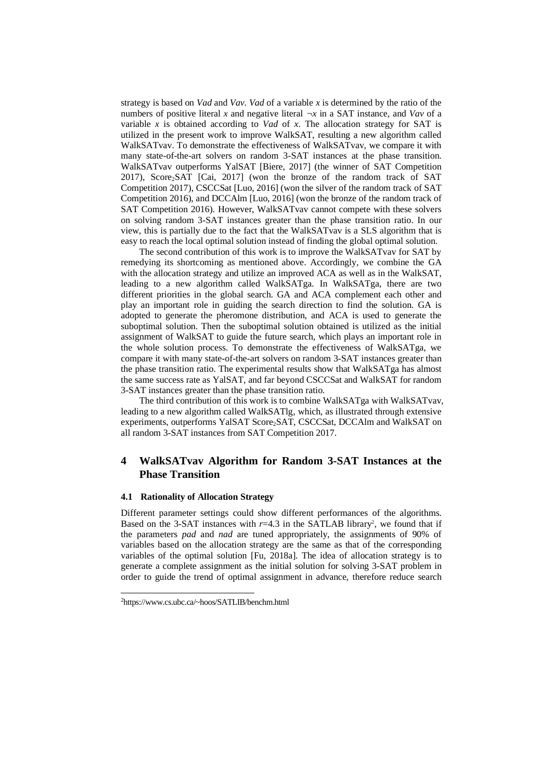strategy is based on *Vad* and *Vav*. *Vad* of a variable *x* is determined by the ratio of the numbers of positive literal *x* and negative literal  $\neg x$  in a SAT instance, and *Vav* of a variable  $x$  is obtained according to *Vad* of  $x$ . The allocation strategy for SAT is utilized in the present work to improve WalkSAT, resulting a new algorithm called WalkSATvav. To demonstrate the effectiveness of WalkSATvav, we compare it with many state-of-the-art solvers on random 3-SAT instances at the phase transition. WalkSATvav outperforms YalSAT [Biere, 2017] (the winner of SAT Competition 2017), Score2SAT [Cai, 2017] (won the bronze of the random track of SAT Competition 2017), CSCCSat [Luo, 2016] (won the silver of the random track of SAT Competition 2016), and DCCAlm [Luo, 2016] (won the bronze of the random track of SAT Competition 2016). However, WalkSATvav cannot compete with these solvers on solving random 3-SAT instances greater than the phase transition ratio. In our view, this is partially due to the fact that the WalkSATvav is a SLS algorithm that is easy to reach the local optimal solution instead of finding the global optimal solution.

The second contribution of this work is to improve the WalkSATvav for SAT by remedying its shortcoming as mentioned above. Accordingly, we combine the GA with the allocation strategy and utilize an improved ACA as well as in the WalkSAT, leading to a new algorithm called WalkSATga. In WalkSATga, there are two different priorities in the global search. GA and ACA complement each other and play an important role in guiding the search direction to find the solution. GA is adopted to generate the pheromone distribution, and ACA is used to generate the suboptimal solution. Then the suboptimal solution obtained is utilized as the initial assignment of WalkSAT to guide the future search, which plays an important role in the whole solution process. To demonstrate the effectiveness of WalkSATga, we compare it with many state-of-the-art solvers on random 3-SAT instances greater than the phase transition ratio. The experimental results show that WalkSATga has almost the same success rate as YalSAT, and far beyond CSCCSat and WalkSAT for random 3-SAT instances greater than the phase transition ratio.

The third contribution of this work is to combine WalkSATga with WalkSATvav, leading to a new algorithm called WalkSATlg, which, as illustrated through extensive experiments, outperforms YalSAT Score2SAT, CSCCSat, DCCAlm and WalkSAT on all random 3-SAT instances from SAT Competition 2017.

# **4 WalkSATvav Algorithm for Random 3-SAT Instances at the Phase Transition**

## **4.1 Rationality of Allocation Strategy**

Different parameter settings could show different performances of the algorithms. Based on the 3-SAT instances with  $r=4.3$  in the SATLAB library<sup>2</sup>, we found that if the parameters *pad* and *nad* are tuned appropriately, the assignments of 90% of variables based on the allocation strategy are the same as that of the corresponding variables of the optimal solution [Fu, 2018a]. The idea of allocation strategy is to generate a complete assignment as the initial solution for solving 3-SAT problem in order to guide the trend of optimal assignment in advance, therefore reduce search

<sup>2</sup>https://www.cs.ubc.ca/~hoos/SATLIB/benchm.html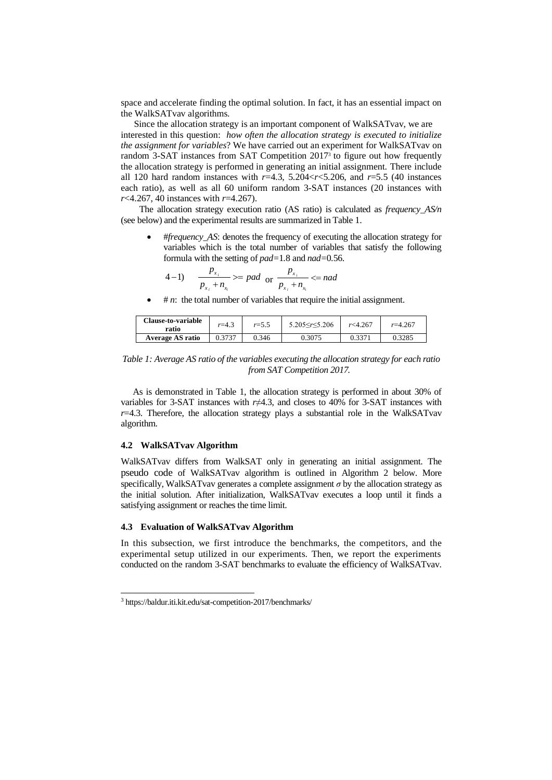space and accelerate finding the optimal solution. In fact, it has an essential impact on the WalkSATvav algorithms.

Since the allocation strategy is an important component of WalkSATvav, we are interested in this question: *how often the allocation strategy is executed to initialize the assignment for variables*? We have carried out an experiment for WalkSATvav on random 3-SAT instances from SAT Competition 2017<sup>3</sup> to figure out how frequently the allocation strategy is performed in generating an initial assignment. There include all 120 hard random instances with *r*=4.3, 5.204<*r*<5.206, and *r*=5.5 (40 instances each ratio), as well as all 60 uniform random 3-SAT instances (20 instances with *r*<4.267, 40 instances with *r*=4.267).

The allocation strategy execution ratio (AS ratio) is calculated as *frequency\_AS/n* (see below) and the experimental results are summarized in Table 1.

• #*frequency\_AS*: denotes the frequency of executing the allocation strategy for variables which is the total number of variables that satisfy the following formula with the setting of *pad=*1*.*8 and *nad=*0*.*56.

4-1) 
$$
\frac{p_{x_i}}{p_{x_i} + n_{x_i}} \geq pad \text{ or } \frac{p_{x_i}}{p_{x_i} + n_{x_i}} \leq nad
$$

 $\sharp n$ : the total number of variables that require the initial assignment.

| <b>Clause-to-variable</b><br>ratio | $r = 4.3$ | $r = 5.5$ | $5.205 \le r \le 5.206$ | r<4.267 | $r = 4.267$ |
|------------------------------------|-----------|-----------|-------------------------|---------|-------------|
| <b>Average AS ratio</b>            | 0.3737    | 0.346     | 0.3075                  | 0.337'  | 0.3285      |

## *Table 1: Average AS ratio of the variables executing the allocation strategy for each ratio from SAT Competition 2017.*

As is demonstrated in Table 1, the allocation strategy is performed in about 30% of variables for 3-SAT instances with  $r\neq 4.3$ , and closes to 40% for 3-SAT instances with  $r=4.3$ . Therefore, the allocation strategy plays a substantial role in the WalkSATvav algorithm.

## **4.2 WalkSATvav Algorithm**

WalkSATvav differs from WalkSAT only in generating an initial assignment. The pseudo code of WalkSATvav algorithm is outlined in Algorithm 2 below. More specifically, WalkSATvav generates a complete assignment  $\sigma$  by the allocation strategy as the initial solution. After initialization, WalkSATvav executes a loop until it finds a satisfying assignment or reaches the time limit.

### **4.3 Evaluation of WalkSATvav Algorithm**

In this subsection, we first introduce the benchmarks, the competitors, and the experimental setup utilized in our experiments. Then, we report the experiments conducted on the random 3-SAT benchmarks to evaluate the efficiency of WalkSATvav.

<sup>3</sup> https://baldur.iti.kit.edu/sat-competition-2017/benchmarks/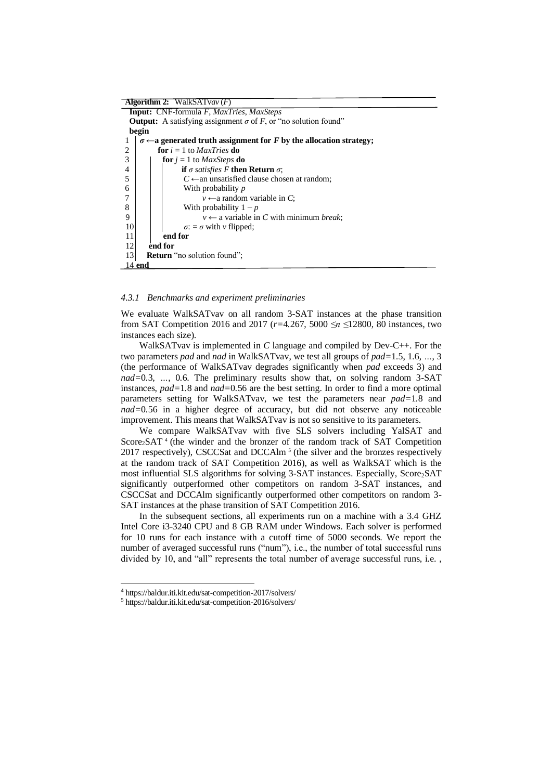| <b>Algorithm 2:</b> WalkSATvav $(F)$                                               |  |  |  |  |  |  |  |
|------------------------------------------------------------------------------------|--|--|--|--|--|--|--|
| <b>Input:</b> CNF-formula F, MaxTries, MaxSteps                                    |  |  |  |  |  |  |  |
| <b>Output:</b> A satisfying assignment $\sigma$ of F, or "no solution found"       |  |  |  |  |  |  |  |
| begin                                                                              |  |  |  |  |  |  |  |
| $\sigma \leftarrow$ a generated truth assignment for F by the allocation strategy; |  |  |  |  |  |  |  |
| <b>for</b> $i = 1$ to <i>MaxTries</i> <b>do</b><br>2                               |  |  |  |  |  |  |  |
| 3<br><b>for</b> $i = 1$ to <i>MaxSteps</i> <b>do</b>                               |  |  |  |  |  |  |  |
| 4<br>if $\sigma$ satisfies F then Return $\sigma$ ;                                |  |  |  |  |  |  |  |
| 5<br>$C \leftarrow$ an unsatisfied clause chosen at random;                        |  |  |  |  |  |  |  |
| 6<br>With probability <i>p</i>                                                     |  |  |  |  |  |  |  |
| $v \leftarrow$ a random variable in C;                                             |  |  |  |  |  |  |  |
| 8<br>With probability $1-p$                                                        |  |  |  |  |  |  |  |
| $v \leftarrow$ a variable in C with minimum <i>break</i> ;<br>9                    |  |  |  |  |  |  |  |
| 10<br>$\sigma$ : = $\sigma$ with v flipped;                                        |  |  |  |  |  |  |  |
| end for<br>11                                                                      |  |  |  |  |  |  |  |
| end for<br>12                                                                      |  |  |  |  |  |  |  |
| 13<br><b>Return</b> "no solution found";                                           |  |  |  |  |  |  |  |
| 14 end                                                                             |  |  |  |  |  |  |  |

### *4.3.1 Benchmarks and experiment preliminaries*

We evaluate WalkSATvav on all random 3-SAT instances at the phase transition from SAT Competition 2016 and 2017 (*r=*4*.*267, 5000 *≤n ≤*12800, 80 instances, two instances each size).

WalkSATvav is implemented in *C* language and compiled by Dev-C++. For the two parameters *pad* and *nad* in WalkSATvav, we test all groups of *pad=*1*.*5, 1*.*6, *…*, 3 (the performance of WalkSATvav degrades significantly when *pad* exceeds 3) and *nad=*0*.*3, *…*, 0*.*6. The preliminary results show that, on solving random 3-SAT instances, *pad=*1*.*8 and *nad=*0*.*56 are the best setting. In order to find a more optimal parameters setting for WalkSATvav, we test the parameters near *pad=*1*.*8 and *nad=*0*.*56 in a higher degree of accuracy, but did not observe any noticeable improvement. This means that WalkSATvav is not so sensitive to its parameters.

We compare WalkSATvav with five SLS solvers including YalSAT and Score<sub>2</sub>SAT<sup>4</sup> (the winder and the bronzer of the random track of SAT Competition 2017 respectively), CSCCSat and DCCAlm<sup>5</sup> (the silver and the bronzes respectively at the random track of SAT Competition 2016), as well as WalkSAT which is the most influential SLS algorithms for solving 3-SAT instances. Especially, Score<sub>2</sub>SAT significantly outperformed other competitors on random 3-SAT instances, and CSCCSat and DCCAlm significantly outperformed other competitors on random 3- SAT instances at the phase transition of SAT Competition 2016.

In the subsequent sections, all experiments run on a machine with a 3.4 GHZ Intel Core i3-3240 CPU and 8 GB RAM under Windows. Each solver is performed for 10 runs for each instance with a cutoff time of 5000 seconds. We report the number of averaged successful runs ("num"), i.e., the number of total successful runs divided by 10, and "all" represents the total number of average successful runs, i.e. ,

<sup>4</sup> https://baldur.iti.kit.edu/sat-competition-2017/solvers/

<sup>5</sup> https://baldur.iti.kit.edu/sat-competition-2016/solvers/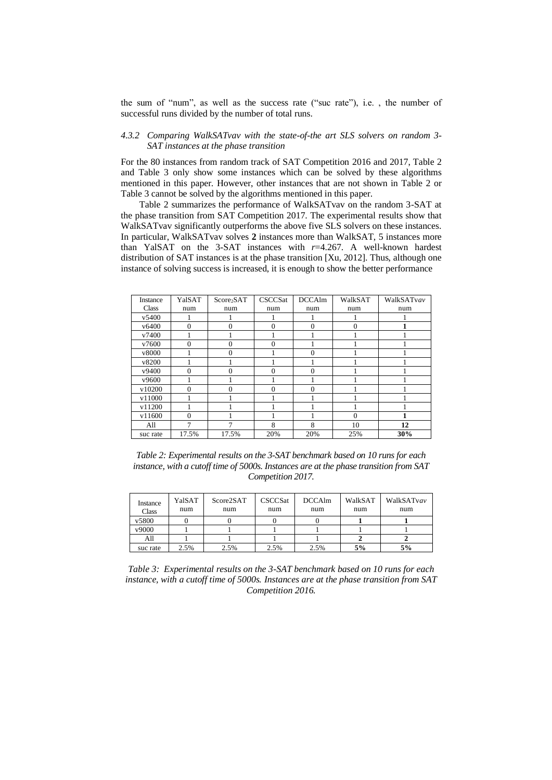the sum of "num", as well as the success rate ("suc rate"), i.e. , the number of successful runs divided by the number of total runs.

## *4.3.2 Comparing WalkSATvav with the state-of-the art SLS solvers on random 3- SAT instances at the phase transition*

For the 80 instances from random track of SAT Competition 2016 and 2017, Table 2 and Table 3 only show some instances which can be solved by these algorithms mentioned in this paper. However, other instances that are not shown in Table 2 or Table 3 cannot be solved by the algorithms mentioned in this paper.

Table 2 summarizes the performance of WalkSATvav on the random 3-SAT at the phase transition from SAT Competition 2017. The experimental results show that WalkSATvav significantly outperforms the above five SLS solvers on these instances. In particular, WalkSATvav solves **2** instances more than WalkSAT, 5 instances more than YalSAT on the 3-SAT instances with *r*=4.267. A well-known hardest distribution of SAT instances is at the phase transition [Xu, 2012]. Thus, although one instance of solving success is increased, it is enough to show the better performance

| Instance          | YalSAT   | Score <sub>2</sub> SAT | CSCCSat  | <b>DCCAlm</b> | WalkSAT      | WalkSATvav |
|-------------------|----------|------------------------|----------|---------------|--------------|------------|
| Class             | num      | num                    | num      | num           | num          | num        |
| v5400             |          |                        |          |               |              |            |
| v <sub>6400</sub> | $\Omega$ | $\Omega$               | $\Omega$ | $\Omega$      | $\Omega$     |            |
| v7400             |          |                        |          |               |              |            |
| v7600             | $\Omega$ | $\Omega$               | $\Omega$ |               |              |            |
| v8000             |          | $\Omega$               |          | $\Omega$      |              |            |
| v8200             |          |                        |          |               |              |            |
| v9400             | $\Omega$ | $\Omega$               | $\Omega$ | $\Omega$      |              |            |
| v9600             |          |                        |          |               |              |            |
| v10200            | $\Omega$ | $\theta$               | $\Omega$ | $\theta$      |              |            |
| v11000            |          |                        |          |               |              |            |
| v11200            |          |                        |          |               |              |            |
| v11600            | $\Omega$ |                        |          |               | $\mathbf{0}$ |            |
| All               | 7        | 7                      | 8        | 8             | 10           | 12         |
| suc rate          | 17.5%    | 17.5%                  | 20%      | 20%           | 25%          | 30%        |

*Table 2: Experimental results on the 3-SAT benchmark based on 10 runs for each instance, with a cutoff time of 5000s. Instances are at the phase transition from SAT Competition 2017.*

| Instance<br>Class | YalSAT<br>num | Score2SAT<br>num | <b>CSCCSat</b><br>num | <b>DCCAlm</b><br>num | WalkSAT<br>num | WalkSATvav<br>num |
|-------------------|---------------|------------------|-----------------------|----------------------|----------------|-------------------|
| v5800             |               |                  |                       |                      |                |                   |
| v9000             |               |                  |                       |                      |                |                   |
| All               |               |                  |                       |                      |                |                   |
| suc rate          | 2.5%          | 2.5%             | 2.5%                  | 2.5%                 | 5%             | 5%                |

*Table 3: Experimental results on the 3-SAT benchmark based on 10 runs for each instance, with a cutoff time of 5000s. Instances are at the phase transition from SAT Competition 2016.*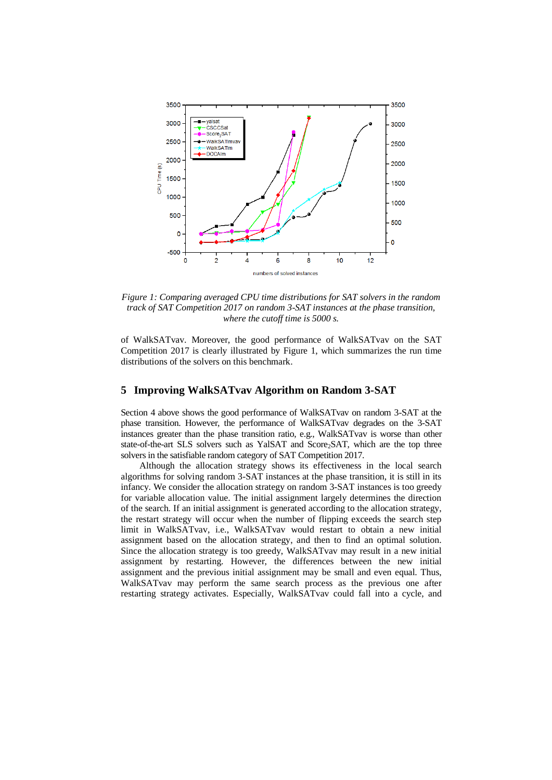

*Figure 1: Comparing averaged CPU time distributions for SAT solvers in the random track of SAT Competition 2017 on random 3-SAT instances at the phase transition, where the cutoff time is 5000 s.*

of WalkSATvav. Moreover, the good performance of WalkSATvav on the SAT Competition 2017 is clearly illustrated by Figure 1, which summarizes the run time distributions of the solvers on this benchmark.

## **5 Improving WalkSATvav Algorithm on Random 3-SAT**

Section 4 above shows the good performance of WalkSATvav on random 3-SAT at the phase transition. However, the performance of WalkSATvav degrades on the 3-SAT instances greater than the phase transition ratio, e.g., WalkSATvav is worse than other state-of-the-art SLS solvers such as YalSAT and Score<sub>2</sub>SAT, which are the top three solvers in the satisfiable random category of SAT Competition 2017.

Although the allocation strategy shows its effectiveness in the local search algorithms for solving random 3-SAT instances at the phase transition, it is still in its infancy. We consider the allocation strategy on random 3-SAT instances is too greedy for variable allocation value. The initial assignment largely determines the direction of the search. If an initial assignment is generated according to the allocation strategy, the restart strategy will occur when the number of flipping exceeds the search step limit in WalkSATvav, i.e., WalkSATvav would restart to obtain a new initial assignment based on the allocation strategy, and then to find an optimal solution. Since the allocation strategy is too greedy, WalkSATvav may result in a new initial assignment by restarting. However, the differences between the new initial assignment and the previous initial assignment may be small and even equal. Thus, WalkSATvav may perform the same search process as the previous one after restarting strategy activates. Especially, WalkSATvav could fall into a cycle, and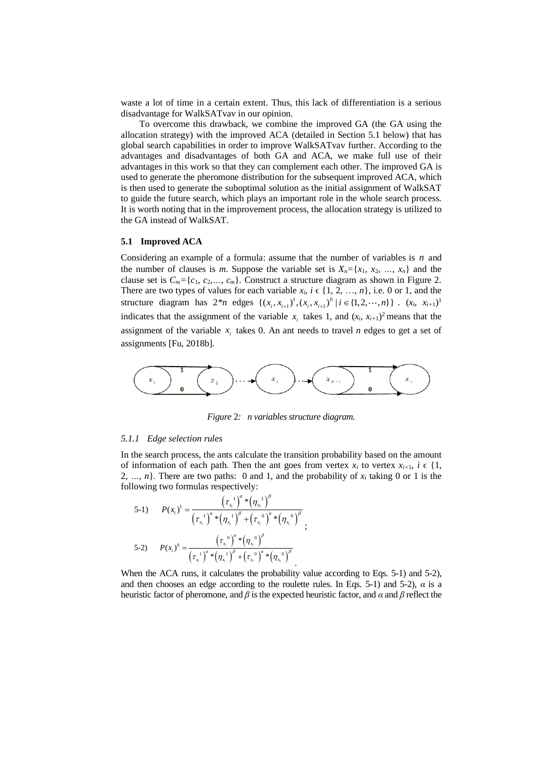waste a lot of time in a certain extent. Thus, this lack of differentiation is a serious disadvantage for WalkSATvav in our opinion.

To overcome this drawback, we combine the improved GA (the GA using the allocation strategy) with the improved ACA (detailed in Section 5.1 below) that has global search capabilities in order to improve WalkSATvav further. According to the advantages and disadvantages of both GA and ACA, we make full use of their advantages in this work so that they can complement each other. The improved GA is used to generate the pheromone distribution for the subsequent improved ACA, which is then used to generate the suboptimal solution as the initial assignment of WalkSAT to guide the future search, which plays an important role in the whole search process. It is worth noting that in the improvement process, the allocation strategy is utilized to the GA instead of WalkSAT.

#### **5.1 Improved ACA**

Considering an example of a formula: assume that the number of variables is  $n$  and the number of clauses is *m*. Suppose the variable set is  $X_n = \{x_1, x_2, ..., x_n\}$  and the clause set is  $C_m = \{c_1, c_2, \ldots, c_m\}$ . Construct a structure diagram as shown in Figure 2. There are two types of values for each variable  $x_i$ ,  $i \in \{1, 2, ..., n\}$ , i.e. 0 or 1, and the There are two types of values for each variable  $x_i$ ,  $i \in \{1, 2, ..., n\}$ , i.e. 0 or 1, and the structure diagram has  $2 * n$  edges  $\{(x_i, x_{i+1})^1, (x_i, x_{i+1})^0 | i \in \{1, 2, ..., n\}\}\$ .  $(x_i, x_{i+1})^1$ indicates that the assignment of the variable  $x_i$  takes 1, and  $(x_i, x_{i+1})^2$  means that the assignment of the variable  $x_i$  takes 0. An ant needs to travel *n* edges to get a set of assignments [Fu, 2018b].



*Figure* 2*: n variables structure diagram.*

#### *5.1.1 Edge selection rules*

In the search process, the ants calculate the transition probability based on the amount of information of each path. Then the ant goes from vertex  $x_i$  to vertex  $x_{i+1}$ ,  $i \in \{1,$ 2, ..., *n*}. There are two paths: 0 and 1, and the probability of  $x_i$  taking 0 or 1 is the

following two formulas respectively:  
\n5-1) 
$$
P(x_i)^1 = \frac{(\tau_{x_i}^1)^a * (\eta_{x_i}^1)^{\beta}}{(\tau_{x_i}^1)^a * (\eta_{x_i}^1)^{\beta} + (\tau_{x_i}^0)^a * (\eta_{x_i}^0)^{\beta}};
$$
\n5-2) 
$$
P(x_i)^0 = \frac{(\tau_{x_i}^0)^a * (\eta_{x_i}^0)^{\beta}}{(\tau_{x_i}^1)^a * (\eta_{x_i}^1)^{\beta} + (\tau_{x_i}^0)^a * (\eta_{x_i}^0)^{\beta}}.
$$

When the ACA runs, it calculates the probability value according to Eqs. 5-1) and 5-2), and then chooses an edge according to the roulette rules. In Eqs. 5-1) and 5-2),  $\alpha$  is a heuristic factor of pheromone, and *β* is the expected heuristic factor, and *α* and *β* reflect the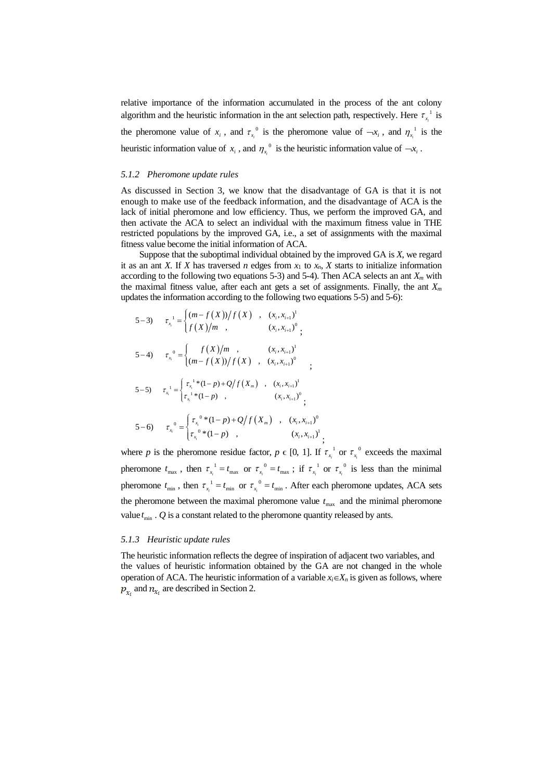relative importance of the information accumulated in the process of the ant colony algorithm and the heuristic information in the ant selection path, respectively. Here  $\tau_{\rm r}^{-1}$  $\tau_{x_i}$ <sup>1</sup> is the pheromone value of  $x_i$ , and  $\tau_{x_i}$ <sup>0</sup>  $\tau_{x_i}^0$  is the pheromone value of  $-x_i$ , and  $\eta_{x_i}^1$  $\eta_{x_i}$ <sup>1</sup> is the heuristic information value of  $x_i$ , and  $\eta_{x_i}$ <sup>0</sup>  $\eta_{x_i}^0$  is the heuristic information value of  $-x_i$ .

#### *5.1.2 Pheromone update rules*

As discussed in Section 3, we know that the disadvantage of GA is that it is not enough to make use of the feedback information, and the disadvantage of ACA is the lack of initial pheromone and low efficiency. Thus, we perform the improved GA, and then activate the ACA to select an individual with the maximum fitness value in THE restricted populations by the improved GA, i.e., a set of assignments with the maximal fitness value become the initial information of ACA.

Suppose that the suboptimal individual obtained by the improved GA is *X*, we regard it as an ant *X*. If *X* has traversed *n* edges from  $x_1$  to  $x_n$ , *X* starts to initialize information according to the following two equations 5-3) and 5-4). Then ACA selects an ant *X<sup>m</sup>* with the maximal fitness value, after each ant gets a set of assignments. Finally, the ant *X<sup>m</sup>* updates the information according to the following two equations 5-5) and 5-6):<br>  $5-3$ ,  $\tau^{-1} = \frac{(m-f(X))/f(X)}{(x_1, x_{i+1})}$ 

5-3) 
$$
\tau_{x_i}^{-1} = \begin{cases} (m - f(X))/f(X) , (x_i, x_{i+1})^1 \\ f(X)/m , (x_i, x_{i+1})^0 ; \end{cases}
$$
  
\n5-4) 
$$
\tau_{x_i}^{-0} = \begin{cases} f(X)/m , (x_i, x_{i+1})^1 \\ (m - f(X))/f(X) , (x_i, x_{i+1})^0 ; \end{cases}
$$
  
\n5-5) 
$$
\tau_{x_i}^{-1} = \begin{cases} \tau_{x_i}^{-1} * (1-p) + Q/f(X_m) , (x_i, x_{i+1})^1 \\ \tau_{x_i}^{-1} * (1-p) , (x_i, x_{i+1})^0 ; \end{cases}
$$
  
\n5-6) 
$$
\tau_{x_i}^{-0} = \begin{cases} \tau_{x_i}^{-0} * (1-p) + Q/f(X_m) , (x_i, x_{i+1})^0 \\ \tau_{x_i}^{-0} * (1-p) , (x_i, x_{i+1})^1 \end{cases}
$$

where *p* is the pheromone residue factor,  $p \in [0, 1]$ . If  $\tau_{n}^{-1}$  $\tau_{x_i}^1$  or  $\tau_{x_i}^0$  $\tau_{x_i}^0$  exceeds the maximal pheromone  $t_{\text{max}}$ , then  $\tau_{x_i}^{-1} = t_{\text{max}}$  or  $\tau_{x_i}^{-0} = t_{\text{max}}$ ; if  $\tau_{x_i}^{-1}$  $\tau_{x_i}^1$  or  $\tau_{x_i}^0$  $\tau_{x_i}^0$  is less than the minimal pheromone  $t_{\min}$ , then  $\tau_{x_i}^{-1} = t_{\min}$  or  $\tau_{x_i}^{-0} = t_{\min}$ . After each pheromone updates, ACA sets the pheromone between the maximal pheromone value  $t_{\text{max}}$  and the minimal pheromone value  $t_{\text{min}}$  .  $Q$  is a constant related to the pheromone quantity released by ants.

;

#### *5.1.3 Heuristic update rules*

The heuristic information reflects the degree of inspiration of adjacent two variables, and the values of heuristic information obtained by the GA are not changed in the whole operation of ACA. The heuristic information of a variable  $x_i \in X_n$  is given as follows, where  $p_{x_i}$  and  $n_{x_i}$  are described in Section 2.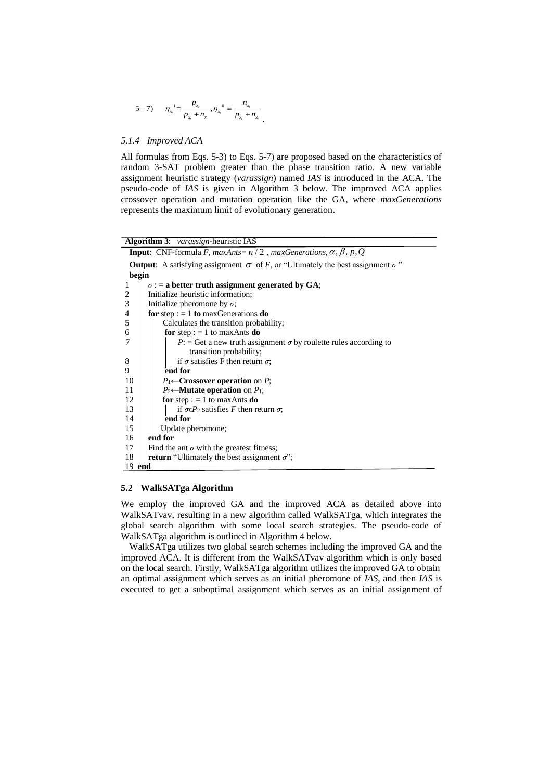$$
5-7) \t \eta_{x_i}^{-1} = \frac{p_{x_i}}{p_{x_i} + n_{x_i}}, \eta_{x_i}^{-0} = \frac{n_{x_i}}{p_{x_i} + n_{x_i}}.
$$

## *5.1.4 Improved ACA*

All formulas from Eqs. 5-3) to Eqs. 5-7) are proposed based on the characteristics of random 3-SAT problem greater than the phase transition ratio. A new variable assignment heuristic strategy (*varassign*) named *IAS* is introduced in the ACA. The pseudo-code of *IAS* is given in Algorithm 3 below. The improved ACA applies crossover operation and mutation operation like the GA, where *maxGenerations* represents the maximum limit of evolutionary generation.

| <b>Algorithm 3:</b> varassign-heuristic IAS                                                          |  |  |  |  |  |  |  |
|------------------------------------------------------------------------------------------------------|--|--|--|--|--|--|--|
| <b>Input:</b> CNF-formula F, maxAnts= $n/2$ , maxGenerations, $\alpha$ , $\beta$ , $p$ , Q           |  |  |  |  |  |  |  |
| <b>Output</b> : A satisfying assignment $\sigma$ of F, or "Ultimately the best assignment $\sigma$ " |  |  |  |  |  |  |  |
| begin                                                                                                |  |  |  |  |  |  |  |
| $\sigma$ : = a better truth assignment generated by GA;<br>1                                         |  |  |  |  |  |  |  |
| Initialize heuristic information;<br>2                                                               |  |  |  |  |  |  |  |
| 3<br>Initialize pheromone by $\sigma$ ;                                                              |  |  |  |  |  |  |  |
| 4<br>for step : $= 1$ to max Generations do                                                          |  |  |  |  |  |  |  |
| 5<br>Calculates the transition probability;                                                          |  |  |  |  |  |  |  |
| 6<br>for step : $= 1$ to max Ants do                                                                 |  |  |  |  |  |  |  |
| 7<br>$P$ : = Get a new truth assignment $\sigma$ by roulette rules according to                      |  |  |  |  |  |  |  |
| transition probability;                                                                              |  |  |  |  |  |  |  |
| if $\sigma$ satisfies F then return $\sigma$ ;<br>8                                                  |  |  |  |  |  |  |  |
| 9<br>end for                                                                                         |  |  |  |  |  |  |  |
| 10<br>$P_1 \leftarrow$ Crossover operation on P;                                                     |  |  |  |  |  |  |  |
| $P_2 \leftarrow$ <b>Mutate operation</b> on $P_1$ ;<br>11                                            |  |  |  |  |  |  |  |
| 12<br>for step : $= 1$ to max Ants do                                                                |  |  |  |  |  |  |  |
| 13<br>if $\sigma \in P_2$ satisfies F then return $\sigma$ ;                                         |  |  |  |  |  |  |  |
| 14<br>end for                                                                                        |  |  |  |  |  |  |  |
| 15<br>Update pheromone;                                                                              |  |  |  |  |  |  |  |
| end for<br>16                                                                                        |  |  |  |  |  |  |  |
| 17<br>Find the ant $\sigma$ with the greatest fitness;                                               |  |  |  |  |  |  |  |
| 18<br><b>return</b> "Ultimately the best assignment $\sigma$ ";                                      |  |  |  |  |  |  |  |
| 19 <b>end</b>                                                                                        |  |  |  |  |  |  |  |

### **5.2 WalkSATga Algorithm**

We employ the improved GA and the improved ACA as detailed above into WalkSATvav, resulting in a new algorithm called WalkSATga, which integrates the global search algorithm with some local search strategies. The pseudo-code of WalkSATga algorithm is outlined in Algorithm 4 below.

WalkSATga utilizes two global search schemes including the improved GA and the improved ACA. It is different from the WalkSATvav algorithm which is only based on the local search. Firstly, WalkSATga algorithm utilizes the improved GA to obtain an optimal assignment which serves as an initial pheromone of *IAS*, and then *IAS* is executed to get a suboptimal assignment which serves as an initial assignment of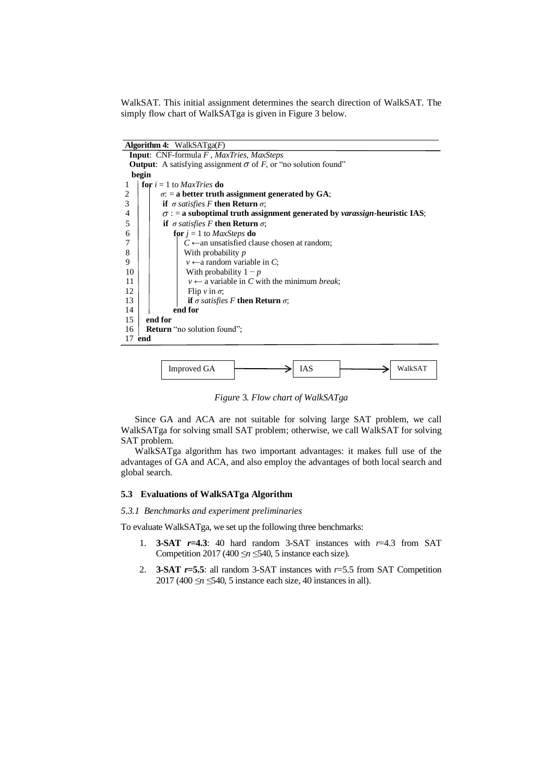WalkSAT. This initial assignment determines the search direction of WalkSAT. The simply flow chart of WalkSATga is given in Figure 3 below.

**Algorithm 4:** WalkSATga(*F*) **Input**: CNF-formula *F* , *MaxTries*, *MaxSteps* **Output:** A satisfying assignment  $\sigma$  of *F*, or "no solution found" **begin**  $1$  **for**  $i = 1$  to *MaxTries* **do** 2 *σ***: = <b>a** better truth assignment generated by GA;<br> **if**  $\sigma$  satisfies F then Return  $\sigma$ ; **if**  $\sigma$  *satisfies* F **then Return**  $\sigma$ ;  $\sigma$  : = a suboptimal truth assignment generated by *varassign*-heuristic IAS; 5 **if** *σ satisfies F* **then Return** *σ*; 6 **for**  $j = 1$  to *MaxSteps* **do**  $7 \mid \cdot \cdot \cdot \cdot \cdot$  *C*  $\leftarrow$  an unsatisfied clause chosen at random; 8 With probability *p* 9  $v \leftarrow$ a random variable in *C*;<br>10 With probability  $1 - p$ With probability  $1 - p$ 11 *v*  $\leftarrow$  a variable in *C* with the minimum *break*;  $12$  Flip *v* in  $\sigma$ ; 13 **if**  $\sigma$  *satisfies* F **then Return**  $\sigma$ ;<br>14 **end for** end for 15 **end for** 16 **Return** "no solution found"; 17 **end**



*Figure* 3*. Flow chart of WalkSATga*

Since GA and ACA are not suitable for solving large SAT problem, we call WalkSATga for solving small SAT problem; otherwise, we call WalkSAT for solving SAT problem.

WalkSATga algorithm has two important advantages: it makes full use of the advantages of GA and ACA, and also employ the advantages of both local search and global search.

## **5.3 Evaluations of WalkSATga Algorithm**

#### *5.3.1 Benchmarks and experiment preliminaries*

To evaluate WalkSATga, we set up the following three benchmarks:

- 1. **3-SAT** *r***=4.3**: 40 hard random 3-SAT instances with *r*=4.3 from SAT Competition 2017 (400  $\leq n \leq 540$ , 5 instance each size).
- 2. **3-SAT** *r***=5.5**: all random 3-SAT instances with *r*=5.5 from SAT Competition 2017 (400 ≤*n* ≤540, 5 instance each size, 40 instances in all).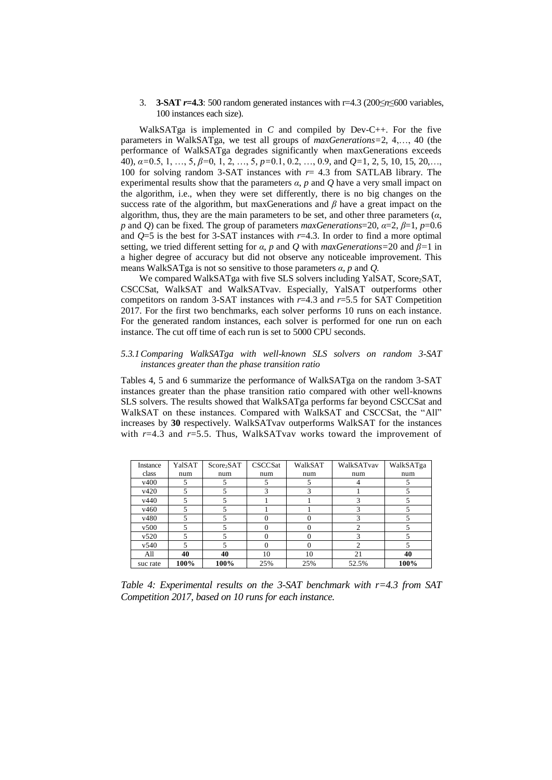### 3. **3-SAT** *r***=4.3**: 500 random generated instances with r=4.3 (200≤*n*≤600 variables, 100 instances each size).

WalkSATga is implemented in *C* and compiled by Dev-C++. For the five parameters in WalkSATga, we test all groups of *maxGenerations=*2, 4,…, 40 (the performance of WalkSATga degrades significantly when maxGenerations exceeds 40), *α=*0.5, 1, …, 5, *β=*0, 1, 2, …, 5, *p=*0.1, 0.2, …, 0.9, and *Q=*1, 2, 5, 10, 15, 20,…, 100 for solving random 3-SAT instances with  $r = 4.3$  from SATLAB library. The experimental results show that the parameters *α*, *p* and *Q* have a very small impact on the algorithm, i.e., when they were set differently, there is no big changes on the success rate of the algorithm, but maxGenerations and  $\beta$  have a great impact on the algorithm, thus, they are the main parameters to be set, and other three parameters (*α*, *p* and *Q*) can be fixed. The group of parameters *maxGenerations*=20, *α*=2, *β*=1, *p*=0.6 and  $Q=5$  is the best for 3-SAT instances with  $r=4.3$ . In order to find a more optimal setting, we tried different setting for *α*, *p* and *Q* with *maxGenerations=*20 and *β=*1 in a higher degree of accuracy but did not observe any noticeable improvement. This means WalkSATga is not so sensitive to those parameters *α*, *p* and *Q*.

We compared WalkSATga with five SLS solvers including YalSAT, Score<sub>2</sub>SAT, CSCCSat, WalkSAT and WalkSATvav. Especially, YalSAT outperforms other competitors on random 3-SAT instances with  $r=4.3$  and  $r=5.5$  for SAT Competition 2017. For the first two benchmarks, each solver performs 10 runs on each instance. For the generated random instances, each solver is performed for one run on each instance. The cut off time of each run is set to 5000 CPU seconds.

## *5.3.1Comparing WalkSATga with well-known SLS solvers on random 3-SAT instances greater than the phase transition ratio*

Tables 4, 5 and 6 summarize the performance of WalkSATga on the random 3-SAT instances greater than the phase transition ratio compared with other well-knowns SLS solvers. The results showed that WalkSATga performs far beyond CSCCSat and WalkSAT on these instances. Compared with WalkSAT and CSCCSat, the "All" increases by **30** respectively. WalkSATvav outperforms WalkSAT for the instances with  $r=4.3$  and  $r=5.5$ . Thus, WalkSATvav works toward the improvement of

| Instance | YalSAT | Score <sub>2</sub> SAT | <b>CSCCSat</b> | WalkSAT | WalkSATvav | WalkSATga |
|----------|--------|------------------------|----------------|---------|------------|-----------|
| class    | num    | num                    | num            | num     | num        | num       |
| v400     |        |                        |                |         |            |           |
| v420     |        |                        | 3              | 3       |            |           |
| v440     |        |                        |                |         |            |           |
| v460     | 5      |                        |                |         | 3          |           |
| v480     |        |                        |                |         |            |           |
| v500     |        |                        |                |         | ◠          |           |
| v520     |        |                        |                | 0       |            |           |
| v540     |        |                        | $\Omega$       | 0       | 2          |           |
| All      | 40     | 40                     | 10             | 10      | 21         | 40        |
| suc rate | 100%   | 100%                   | 25%            | 25%     | 52.5%      | 100%      |

*Table 4: Experimental results on the 3-SAT benchmark with r=4.3 from SAT Competition 2017, based on 10 runs for each instance.*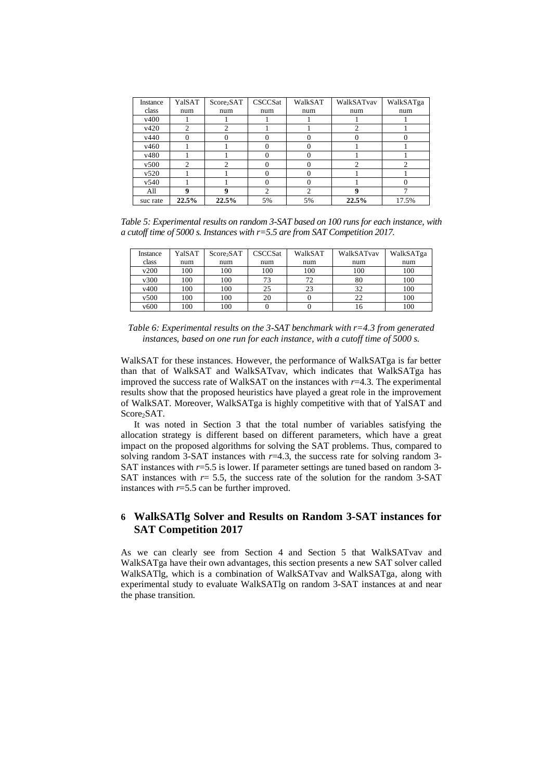| Instance | YalSAT                      | Score <sub>2</sub> SAT      | CSCCSat           | WalkSAT       | WalkSATvav | WalkSATga |
|----------|-----------------------------|-----------------------------|-------------------|---------------|------------|-----------|
| class    | num                         | num                         | num               | num           | num        | num       |
| v400     |                             |                             |                   |               |            |           |
| v420     | 2                           | 2                           |                   |               | ◠          |           |
| v440     |                             |                             | $\mathbf{\Omega}$ |               |            |           |
| v460     |                             |                             | 0                 | $\Omega$      |            |           |
| v480     |                             |                             | 0                 | $\mathcal{L}$ |            |           |
| v500     | $\mathcal{D}_{\mathcal{L}}$ | $\mathcal{D}_{\mathcal{L}}$ | $\mathbf{\Omega}$ | ∩             | ↑          |           |
| v520     |                             |                             | 0                 |               |            |           |
| v540     |                             |                             | 0                 | $\Omega$      |            |           |
| All      | Q                           | $\bf{o}$                    | $\overline{c}$    | ↑             | Q          |           |
| suc rate | 22.5%                       | 22.5%                       | 5%                | 5%            | 22.5%      | 17.5%     |

*Table 5: Experimental results on random 3-SAT based on 100 runs for each instance, with a cutoff time of 5000 s. Instances with r=5.5 are from SAT Competition 2017.*

| Instance | YalSAT | Score <sub>2</sub> SAT | <b>CSCCSat</b> | WalkSAT | WalkSATvav | WalkSATga |
|----------|--------|------------------------|----------------|---------|------------|-----------|
| class    | num    | num                    | num            | num     | num        | num       |
| v200     | 100    | 100                    | 100            | 100     | 100        | 100       |
| v300     | 100    | 100                    | 73             | 72      | 80         | 100       |
| v400     | 100    | 100                    | 25             | 23      | 32         | 100       |
| v500     | 100    | 100                    | 20             |         | 22         | 100       |
| v600     | 100    | 100                    |                |         | 16         | 100       |

*Table 6: Experimental results on the 3-SAT benchmark with r=4.3 from generated instances, based on one run for each instance, with a cutoff time of 5000 s.*

WalkSAT for these instances. However, the performance of WalkSATga is far better than that of WalkSAT and WalkSATvav, which indicates that WalkSATga has improved the success rate of WalkSAT on the instances with  $r=4.3$ . The experimental results show that the proposed heuristics have played a great role in the improvement of WalkSAT. Moreover, WalkSATga is highly competitive with that of YalSAT and Score<sub>2</sub>SAT.

It was noted in Section 3 that the total number of variables satisfying the allocation strategy is different based on different parameters, which have a great impact on the proposed algorithms for solving the SAT problems. Thus, compared to solving random 3-SAT instances with  $r=4.3$ , the success rate for solving random 3-SAT instances with *r*=5.5 is lower. If parameter settings are tuned based on random 3- SAT instances with  $r=$  5.5, the success rate of the solution for the random 3-SAT instances with *r*=5.5 can be further improved.

# **6 WalkSATlg Solver and Results on Random 3-SAT instances for SAT Competition 2017**

As we can clearly see from Section 4 and Section 5 that WalkSATvav and WalkSATga have their own advantages, this section presents a new SAT solver called WalkSATlg, which is a combination of WalkSATvav and WalkSATga, along with experimental study to evaluate WalkSATlg on random 3-SAT instances at and near the phase transition.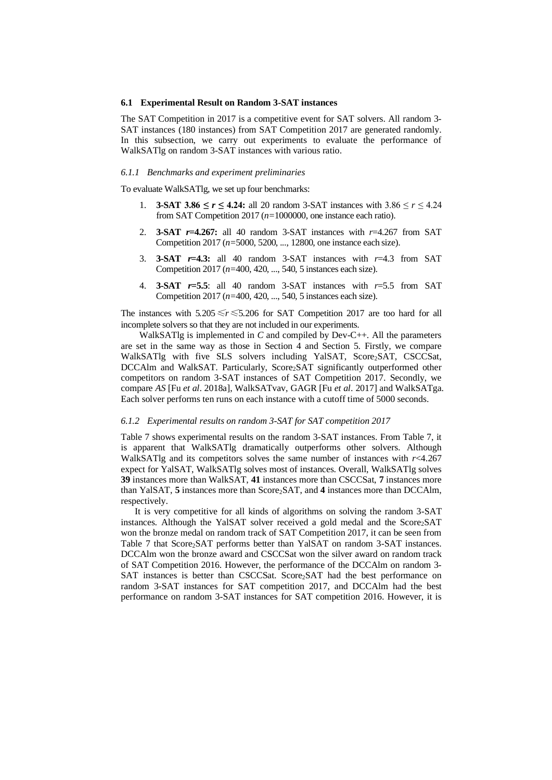#### **6.1 Experimental Result on Random 3-SAT instances**

The SAT Competition in 2017 is a competitive event for SAT solvers. All random 3- SAT instances (180 instances) from SAT Competition 2017 are generated randomly. In this subsection, we carry out experiments to evaluate the performance of WalkSATlg on random 3-SAT instances with various ratio.

#### *6.1.1 Benchmarks and experiment preliminaries*

To evaluate WalkSATlg, we set up four benchmarks:

- 1. **3-SAT 3.86 ≤** *r* **≤ 4.24:** all 20 random 3-SAT instances with 3.86 ≤ *r* ≤ 4.24 from SAT Competition 2017 (*n=*1000000, one instance each ratio).
- 2. **3-SAT** *r***=4.267:** all 40 random 3-SAT instances with *r*=4.267 from SAT Competition 2017 (*n=*5000, 5200, *...*, 12800, one instance each size).
- 3. **3-SAT** *r***=4.3:** all 40 random 3-SAT instances with *r*=4.3 from SAT Competition 2017 (*n=*400, 420, *...*, 540, 5 instances each size).
- 4. **3-SAT** *r***=5.5**: all 40 random 3-SAT instances with *r*=5.5 from SAT Competition 2017 (*n=*400, 420, *...*, 540, 5 instances each size).

The instances with 5*.*205≤*r*≤5*.*206 for SAT Competition 2017 are too hard for all incomplete solvers so that they are not included in our experiments.

WalkSATlg is implemented in *C* and compiled by Dev-C++. All the parameters are set in the same way as those in Section 4 and Section 5. Firstly, we compare WalkSATlg with five SLS solvers including YalSAT, Score2SAT, CSCCSat, DCCAlm and WalkSAT. Particularly, Score<sub>2</sub>SAT significantly outperformed other competitors on random 3-SAT instances of SAT Competition 2017. Secondly, we compare *AS* [Fu *et al*. 2018a], WalkSATvav, GAGR [Fu *et al*. 2017] and WalkSATga. Each solver performs ten runs on each instance with a cutoff time of 5000 seconds.

#### *6.1.2 Experimental results on random 3-SAT for SAT competition 2017*

Table 7 shows experimental results on the random 3-SAT instances. From Table 7, it is apparent that WalkSATlg dramatically outperforms other solvers. Although WalkSATlg and its competitors solves the same number of instances with  $r$  <4.267 expect for YalSAT, WalkSATlg solves most of instances. Overall, WalkSATlg solves **39** instances more than WalkSAT, **41** instances more than CSCCSat, **7** instances more than YalSAT, 5 instances more than Score<sub>2</sub>SAT, and 4 instances more than DCCAlm, respectively.

It is very competitive for all kinds of algorithms on solving the random 3-SAT instances. Although the YalSAT solver received a gold medal and the Score2SAT won the bronze medal on random track of SAT Competition 2017, it can be seen from Table 7 that Score<sub>2</sub>SAT performs better than YalSAT on random 3-SAT instances. DCCAlm won the bronze award and CSCCSat won the silver award on random track of SAT Competition 2016. However, the performance of the DCCAlm on random 3- SAT instances is better than CSCCSat. Score<sub>2</sub>SAT had the best performance on random 3-SAT instances for SAT competition 2017, and DCCAlm had the best performance on random 3-SAT instances for SAT competition 2016. However, it is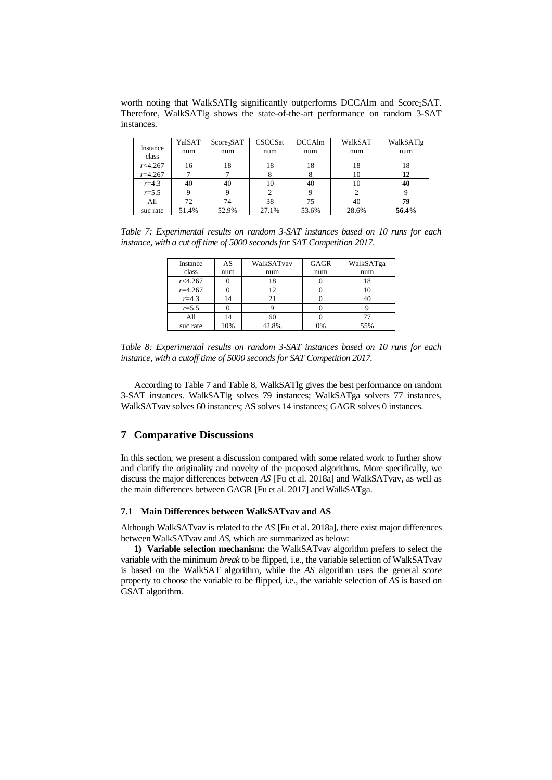worth noting that WalkSATlg significantly outperforms DCCAlm and Score<sub>2</sub>SAT. Therefore, WalkSATlg shows the state-of-the-art performance on random 3-SAT instances.

| Instance<br>class | YalSAT<br>num | Score <sub>2</sub> SAT<br>num | <b>CSCCSat</b><br>num | <b>DCCAlm</b><br>num | WalkSAT<br>num | WalkSATlg<br>num |
|-------------------|---------------|-------------------------------|-----------------------|----------------------|----------------|------------------|
| r<4.267           | 16            | 18                            | 18                    | 18                   | 18             | 18               |
| $r = 4.267$       |               |                               |                       |                      | 10             | 12               |
| $r = 4.3$         | 40            | 40                            | 10                    | 40                   | 10             | 40               |
| $r = 5.5$         |               |                               |                       |                      |                |                  |
| All               | 72            | 74                            | 38                    | 75                   | 40             | 79               |
| suc rate          | 51.4%         | 52.9%                         | 27.1%                 | 53.6%                | 28.6%          | 56.4%            |

*Table 7: Experimental results on random 3-SAT instances based on 10 runs for each instance, with a cut off time of 5000 seconds for SAT Competition 2017*.

| Instance    | AS  | WalkSATvav | GAGR | WalkSATga |
|-------------|-----|------------|------|-----------|
| class       | num | num        | num  | num       |
| r<4.267     |     | 18         |      | 18        |
| $r = 4.267$ |     |            |      | 10        |
| $r = 4.3$   | 14  | 21         |      | 40        |
| $r = 5.5$   |     |            |      |           |
| All         | 14  | 60         |      |           |
| suc rate    | 10% | 42.8%      | 0%   | 55%       |

*Table 8: Experimental results on random 3-SAT instances based on 10 runs for each instance, with a cutoff time of 5000 seconds for SAT Competition 2017.*

According to Table 7 and Table 8, WalkSATlg gives the best performance on random 3-SAT instances. WalkSATlg solves 79 instances; WalkSATga solvers 77 instances, WalkSATvav solves 60 instances; AS solves 14 instances; GAGR solves 0 instances.

## **7 Comparative Discussions**

In this section, we present a discussion compared with some related work to further show and clarify the originality and novelty of the proposed algorithms. More specifically, we discuss the major differences between *AS* [Fu et al. 2018a] and WalkSATvav, as well as the main differences between GAGR [Fu et al. 2017] and WalkSATga.

### **7.1 Main Differences between WalkSATvav and AS**

Although WalkSATvav is related to the *AS* [Fu et al. 2018a], there exist major differences between WalkSATvav and *AS*, which are summarized as below:

**1) Variable selection mechanism:** the WalkSATvav algorithm prefers to select the variable with the minimum *break* to be flipped, i.e., the variable selection of WalkSATvav is based on the WalkSAT algorithm, while the *AS* algorithm uses the general *score* property to choose the variable to be flipped, i.e., the variable selection of *AS* is based on GSAT algorithm.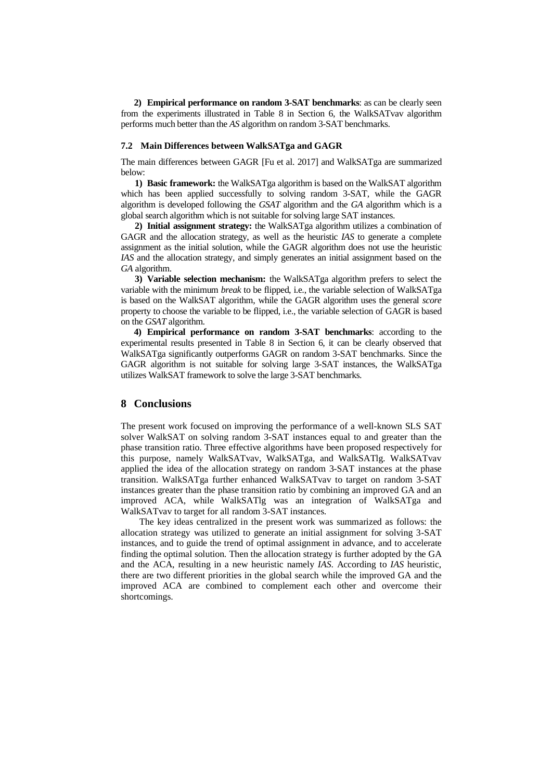**2) Empirical performance on random 3-SAT benchmarks**: as can be clearly seen from the experiments illustrated in Table 8 in Section 6, the WalkSATvav algorithm performs much better than the *AS* algorithm on random 3-SAT benchmarks.

## **7.2 Main Differences between WalkSATga and GAGR**

The main differences between GAGR [Fu et al. 2017] and WalkSATga are summarized below:

**1) Basic framework:** the WalkSATga algorithm is based on the WalkSAT algorithm which has been applied successfully to solving random 3-SAT, while the GAGR algorithm is developed following the *GSAT* algorithm and the *GA* algorithm which is a global search algorithm which is not suitable forsolving large SAT instances.

**2) Initial assignment strategy:** the WalkSATga algorithm utilizes a combination of GAGR and the allocation strategy, as well as the heuristic *IAS* to generate a complete assignment as the initial solution, while the GAGR algorithm does not use the heuristic *IAS* and the allocation strategy, and simply generates an initial assignment based on the *GA* algorithm.

**3) Variable selection mechanism:** the WalkSATga algorithm prefers to select the variable with the minimum *break* to be flipped, i.e., the variable selection of WalkSATga is based on the WalkSAT algorithm, while the GAGR algorithm uses the general *score* property to choose the variable to be flipped, i.e., the variable selection of GAGR is based on the *GSAT* algorithm.

**4) Empirical performance on random 3-SAT benchmarks**: according to the experimental results presented in Table 8 in Section 6, it can be clearly observed that WalkSATga significantly outperforms GAGR on random 3-SAT benchmarks. Since the GAGR algorithm is not suitable for solving large 3-SAT instances, the WalkSATga utilizes WalkSAT framework to solve the large 3-SAT benchmarks.

## **8 Conclusions**

The present work focused on improving the performance of a well-known SLS SAT solver WalkSAT on solving random 3-SAT instances equal to and greater than the phase transition ratio. Three effective algorithms have been proposed respectively for this purpose, namely WalkSATvav, WalkSATga, and WalkSATlg. WalkSATvav applied the idea of the allocation strategy on random 3-SAT instances at the phase transition. WalkSATga further enhanced WalkSATvav to target on random 3-SAT instances greater than the phase transition ratio by combining an improved GA and an improved ACA, while WalkSATlg was an integration of WalkSATga and WalkSATvav to target for all random 3-SAT instances.

The key ideas centralized in the present work was summarized as follows: the allocation strategy was utilized to generate an initial assignment for solving 3-SAT instances, and to guide the trend of optimal assignment in advance, and to accelerate finding the optimal solution. Then the allocation strategy is further adopted by the GA and the ACA, resulting in a new heuristic namely *IAS*. According to *IAS* heuristic, there are two different priorities in the global search while the improved GA and the improved ACA are combined to complement each other and overcome their shortcomings.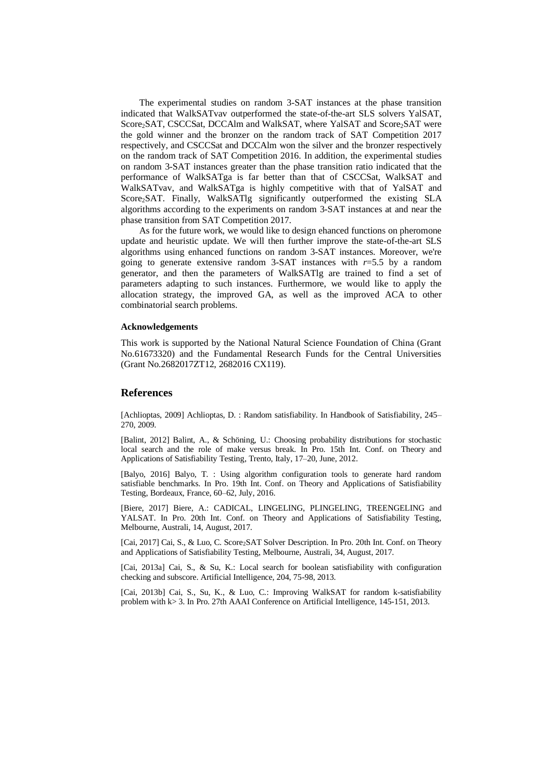The experimental studies on random 3-SAT instances at the phase transition indicated that WalkSATvav outperformed the state-of-the-art SLS solvers YalSAT, Score<sub>2</sub>SAT, CSCCSat, DCCAlm and WalkSAT, where YalSAT and Score<sub>2</sub>SAT were the gold winner and the bronzer on the random track of SAT Competition 2017 respectively, and CSCCSat and DCCAlm won the silver and the bronzer respectively on the random track of SAT Competition 2016. In addition, the experimental studies on random 3-SAT instances greater than the phase transition ratio indicated that the performance of WalkSATga is far better than that of CSCCSat, WalkSAT and WalkSATvav, and WalkSATga is highly competitive with that of YalSAT and Score<sub>2</sub>SAT. Finally, WalkSATlg significantly outperformed the existing SLA algorithms according to the experiments on random 3-SAT instances at and near the phase transition from SAT Competition 2017.

As for the future work, we would like to design ehanced functions on pheromone update and heuristic update. We will then further improve the state-of-the-art SLS algorithms using enhanced functions on random 3-SAT instances. Moreover, we're going to generate extensive random  $3-SAT$  instances with  $r=5.5$  by a random generator, and then the parameters of WalkSATlg are trained to find a set of parameters adapting to such instances. Furthermore, we would like to apply the allocation strategy, the improved GA, as well as the improved ACA to other combinatorial search problems.

#### **Acknowledgements**

This work is supported by the National Natural Science Foundation of China (Grant No.61673320) and the Fundamental Research Funds for the Central Universities (Grant No.2682017ZT12, 2682016 CX119).

## **References**

[Achlioptas, 2009] Achlioptas, D. : Random satisfiability. In Handbook of Satisfiability, 245– 270, 2009.

[Balint, 2012] Balint, A., & Schöning, U.: Choosing probability distributions for stochastic local search and the role of make versus break. In Pro. 15th Int. Conf. on Theory and Applications of Satisfiability Testing, Trento, Italy, 17–20, June, 2012.

[Balyo, 2016] Balyo, T. : Using algorithm configuration tools to generate hard random satisfiable benchmarks. In Pro. 19th Int. Conf. on Theory and Applications of Satisfiability Testing, Bordeaux, France, 60–62, July, 2016.

[Biere, 2017] Biere, A.: CADICAL, LINGELING, PLINGELING, TREENGELING and YALSAT. In Pro. 20th Int. Conf. on Theory and Applications of Satisfiability Testing, Melbourne, Australi, 14, August, 2017.

[Cai, 2017] Cai, S., & Luo, C. Score2SAT Solver Description. In Pro. 20th Int. Conf. on Theory and Applications of Satisfiability Testing, Melbourne, Australi, 34, August, 2017.

[Cai, 2013a] Cai, S., & Su, K.: Local search for boolean satisfiability with configuration checking and subscore. Artificial Intelligence, 204, 75-98, 2013.

[Cai, 2013b] Cai, S., Su, K., & Luo, C.: Improving WalkSAT for random k-satisfiability problem with k> 3. In Pro. 27th AAAI Conference on Artificial Intelligence, 145-151, 2013.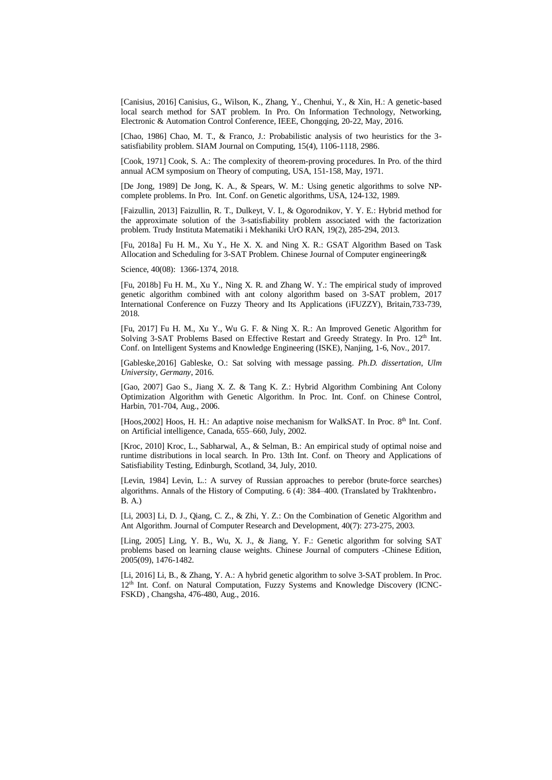[Canisius, 2016] Canisius, G., Wilson, K., Zhang, Y., Chenhui, Y., & Xin, H.: A genetic-based local search method for SAT problem. In Pro. On Information Technology, Networking, Electronic & Automation Control Conference, IEEE, Chongqing, 20-22, May, 2016.

[Chao, 1986] Chao, M. T., & Franco, J.: Probabilistic analysis of two heuristics for the 3satisfiability problem. SIAM Journal on Computing, 15(4), 1106-1118, 2986.

[Cook, 1971] Cook, S. A.: The complexity of theorem-proving procedures. In Pro. of the third annual ACM symposium on Theory of computing, USA, 151-158, May, 1971.

[De Jong, 1989] De Jong, K. A., & Spears, W. M.: Using genetic algorithms to solve NPcomplete problems. In Pro. Int. Conf. on Genetic algorithms, USA, 124-132, 1989.

[Faizullin, 2013] Faizullin, R. T., Dulkeyt, V. I., & Ogorodnikov, Y. Y. E.: Hybrid method for the approximate solution of the 3-satisfiability problem associated with the factorization problem. Trudy Instituta Matematiki i Mekhaniki UrO RAN, 19(2), 285-294, 2013.

[Fu, 2018a] Fu H. M., Xu Y., He X. X. and Ning X. R.: GSAT Algorithm Based on Task Allocation and Scheduling for 3-SAT Problem. Chinese Journal of Computer engineering&

Science, 40(08): 1366-1374, 2018.

[Fu, 2018b] Fu H. M., Xu Y., Ning X. R. and Zhang W. Y.: The empirical study of improved genetic algorithm combined with ant colony algorithm based on 3-SAT problem, 2017 International Conference on Fuzzy Theory and Its Applications (iFUZZY), Britain,733-739, 2018.

[Fu, 2017] Fu H. M., Xu Y., Wu G. F. & Ning X. R.: An Improved Genetic Algorithm for Solving 3-SAT Problems Based on Effective Restart and Greedy Strategy. In Pro. 12<sup>th</sup> Int. Conf. on Intelligent Systems and Knowledge Engineering (ISKE), Nanjing, 1-6, Nov., 2017.

[Gableske,2016] Gableske, O.: Sat solving with message passing. *Ph.D. dissertation*, *Ulm University*, *Germany*, 2016.

[Gao, 2007] Gao S., Jiang X. Z. & Tang K. Z.: Hybrid Algorithm Combining Ant Colony Optimization Algorithm with Genetic Algorithm. In Proc. Int. Conf. on Chinese Control, Harbin, 701-704, Aug., 2006.

[Hoos, 2002] Hoos, H. H.: An adaptive noise mechanism for WalkSAT. In Proc. 8<sup>th</sup> Int. Conf. on Artificial intelligence, Canada, 655–660, July, 2002.

[Kroc, 2010] Kroc, L., Sabharwal, A., & Selman, B.: An empirical study of optimal noise and runtime distributions in local search. In Pro. 13th Int. Conf. on Theory and Applications of Satisfiability Testing, Edinburgh, Scotland, 34, July, 2010.

[Levin, 1984] Levin, L.: A survey of Russian approaches to perebor (brute-force searches) algorithms. Annals of the History of Computing. 6 (4): 384–400. (Translated by Trakhtenbro, B. A.)

[Li, 2003] Li, D. J., Qiang, C. Z., & Zhi, Y. Z.: On the Combination of Genetic Algorithm and Ant Algorithm. Journal of Computer Research and Development, 40(7): 273-275, 2003.

[Ling, 2005] Ling, Y. B., Wu, X. J., & Jiang, Y. F.: Genetic algorithm for solving SAT problems based on learning clause weights. Chinese Journal of computers -Chinese Edition, 2005(09), 1476-1482.

[Li, 2016] Li, B., & Zhang, Y. A.: A hybrid genetic algorithm to solve 3-SAT problem. In Proc. 12th Int. Conf. on Natural Computation, Fuzzy Systems and Knowledge Discovery (ICNC-FSKD) , Changsha, 476-480, Aug., 2016.